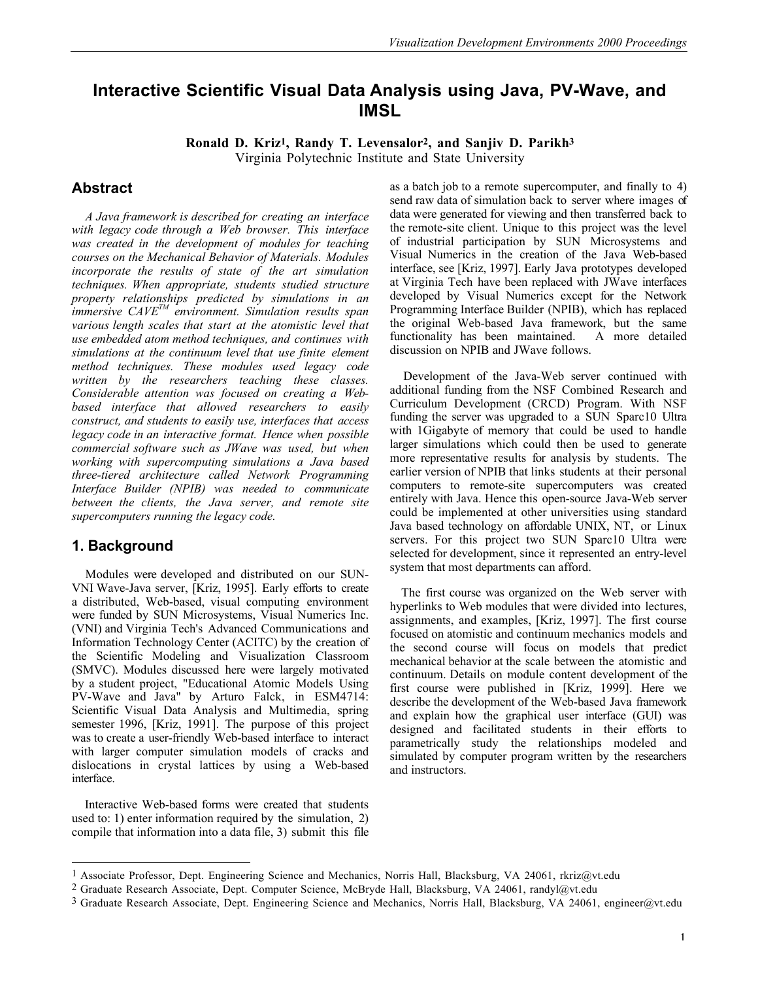# **Interactive Scientific Visual Data Analysis using Java, PV-Wave, and IMSL**

**Ronald D. Kriz1, Randy T. Levensalor2, and Sanjiv D. Parikh3** Virginia Polytechnic Institute and State University

### **Abstract**

*A Java framework is described for creating an interface with legacy code through a Web browser. This interface was created in the development of modules for teaching courses on the Mechanical Behavior of Materials. Modules incorporate the results of state of the art simulation techniques. When appropriate, students studied structure property relationships predicted by simulations in an immersive CAVETM environment. Simulation results span various length scales that start at the atomistic level that use embedded atom method techniques, and continues with simulations at the continuum level that use finite element method techniques. These modules used legacy code written by the researchers teaching these classes. Considerable attention was focused on creating a Webbased interface that allowed researchers to easily construct, and students to easily use, interfaces that access legacy code in an interactive format. Hence when possible commercial software such as JWave was used, but when working with supercomputing simulations a Java based three-tiered architecture called Network Programming Interface Builder (NPIB) was needed to communicate between the clients, the Java server, and remote site supercomputers running the legacy code.*

### **1. Background**

 $\overline{a}$ 

Modules were developed and distributed on our SUN-VNI Wave-Java server, [Kriz, 1995]. Early efforts to create a distributed, Web-based, visual computing environment were funded by SUN Microsystems, Visual Numerics Inc. (VNI) and Virginia Tech's Advanced Communications and Information Technology Center (ACITC) by the creation of the Scientific Modeling and Visualization Classroom (SMVC). Modules discussed here were largely motivated by a student project, "Educational Atomic Models Using PV-Wave and Java" by Arturo Falck, in ESM4714: Scientific Visual Data Analysis and Multimedia, spring semester 1996, [Kriz, 1991]. The purpose of this project was to create a user-friendly Web-based interface to interact with larger computer simulation models of cracks and dislocations in crystal lattices by using a Web-based interface.

 Interactive Web-based forms were created that students used to: 1) enter information required by the simulation, 2) compile that information into a data file, 3) submit this file as a batch job to a remote supercomputer, and finally to 4) send raw data of simulation back to server where images of data were generated for viewing and then transferred back to the remote-site client. Unique to this project was the level of industrial participation by SUN Microsystems and Visual Numerics in the creation of the Java Web-based interface, see [Kriz, 1997]. Early Java prototypes developed at Virginia Tech have been replaced with JWave interfaces developed by Visual Numerics except for the Network Programming Interface Builder (NPIB), which has replaced the original Web-based Java framework, but the same functionality has been maintained. A more detailed discussion on NPIB and JWave follows.

Development of the Java-Web server continued with additional funding from the NSF Combined Research and Curriculum Development (CRCD) Program. With NSF funding the server was upgraded to a SUN Sparc10 Ultra with 1Gigabyte of memory that could be used to handle larger simulations which could then be used to generate more representative results for analysis by students. The earlier version of NPIB that links students at their personal computers to remote-site supercomputers was created entirely with Java. Hence this open-source Java-Web server could be implemented at other universities using standard Java based technology on affordable UNIX, NT, or Linux servers. For this project two SUN Sparc10 Ultra were selected for development, since it represented an entry-level system that most departments can afford.

 The first course was organized on the Web server with hyperlinks to Web modules that were divided into lectures, assignments, and examples, [Kriz, 1997]. The first course focused on atomistic and continuum mechanics models and the second course will focus on models that predict mechanical behavior at the scale between the atomistic and continuum. Details on module content development of the first course were published in [Kriz, 1999]. Here we describe the development of the Web-based Java framework and explain how the graphical user interface (GUI) was designed and facilitated students in their efforts to parametrically study the relationships modeled and simulated by computer program written by the researchers and instructors.

<sup>1</sup> Associate Professor, Dept. Engineering Science and Mechanics, Norris Hall, Blacksburg, VA 24061, rkriz@vt.edu

<sup>&</sup>lt;sup>2</sup> Graduate Research Associate, Dept. Computer Science, McBryde Hall, Blacksburg, VA 24061, randyl@vt.edu

 $3$  Graduate Research Associate, Dept. Engineering Science and Mechanics, Norris Hall, Blacksburg, VA 24061, engineer@vt.edu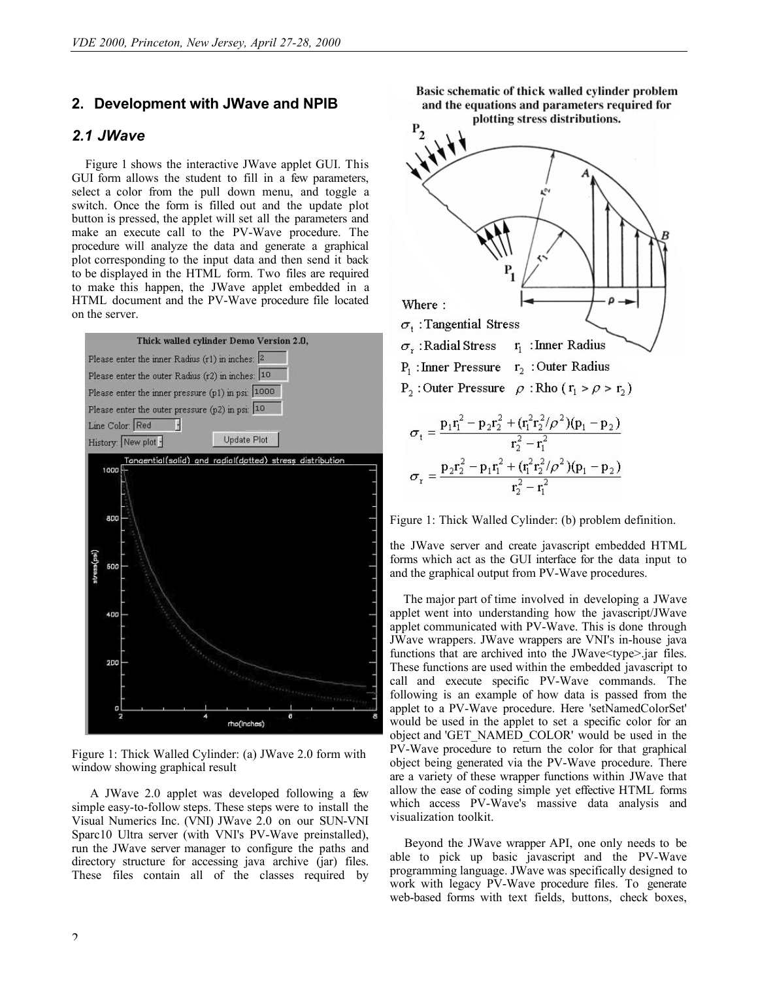### **2. Development with JWave and NPIB**

## *2.1 JWave*

Figure 1 shows the interactive JWave applet GUI. This GUI form allows the student to fill in a few parameters, select a color from the pull down menu, and toggle a switch. Once the form is filled out and the update plot button is pressed, the applet will set all the parameters and make an execute call to the PV-Wave procedure. The procedure will analyze the data and generate a graphical plot corresponding to the input data and then send it back to be displayed in the HTML form. Two files are required to make this happen, the JWave applet embedded in a HTML document and the PV-Wave procedure file located on the server.



Figure 1: Thick Walled Cylinder: (a) JWave 2.0 form with window showing graphical result

 A JWave 2.0 applet was developed following a few simple easy-to-follow steps. These steps were to install the Visual Numerics Inc. (VNI) JWave 2.0 on our SUN-VNI Sparc10 Ultra server (with VNI's PV-Wave preinstalled), run the JWave server manager to configure the paths and directory structure for accessing java archive (jar) files. These files contain all of the classes required by Basic schematic of thick walled cylinder problem and the equations and parameters required for



Figure 1: Thick Walled Cylinder: (b) problem definition.

the JWave server and create javascript embedded HTML forms which act as the GUI interface for the data input to and the graphical output from PV-Wave procedures.

The major part of time involved in developing a JWave applet went into understanding how the javascript/JWave applet communicated with PV-Wave. This is done through JWave wrappers. JWave wrappers are VNI's in-house java functions that are archived into the JWave $\leq$ type $\geq$ .jar files. These functions are used within the embedded javascript to call and execute specific PV-Wave commands. The following is an example of how data is passed from the applet to a PV-Wave procedure. Here 'setNamedColorSet' would be used in the applet to set a specific color for an object and 'GET\_NAMED\_COLOR' would be used in the PV-Wave procedure to return the color for that graphical object being generated via the PV-Wave procedure. There are a variety of these wrapper functions within JWave that allow the ease of coding simple yet effective HTML forms which access PV-Wave's massive data analysis and visualization toolkit.

 Beyond the JWave wrapper API, one only needs to be able to pick up basic javascript and the PV-Wave programming language. JWave was specifically designed to work with legacy PV-Wave procedure files. To generate web-based forms with text fields, buttons, check boxes,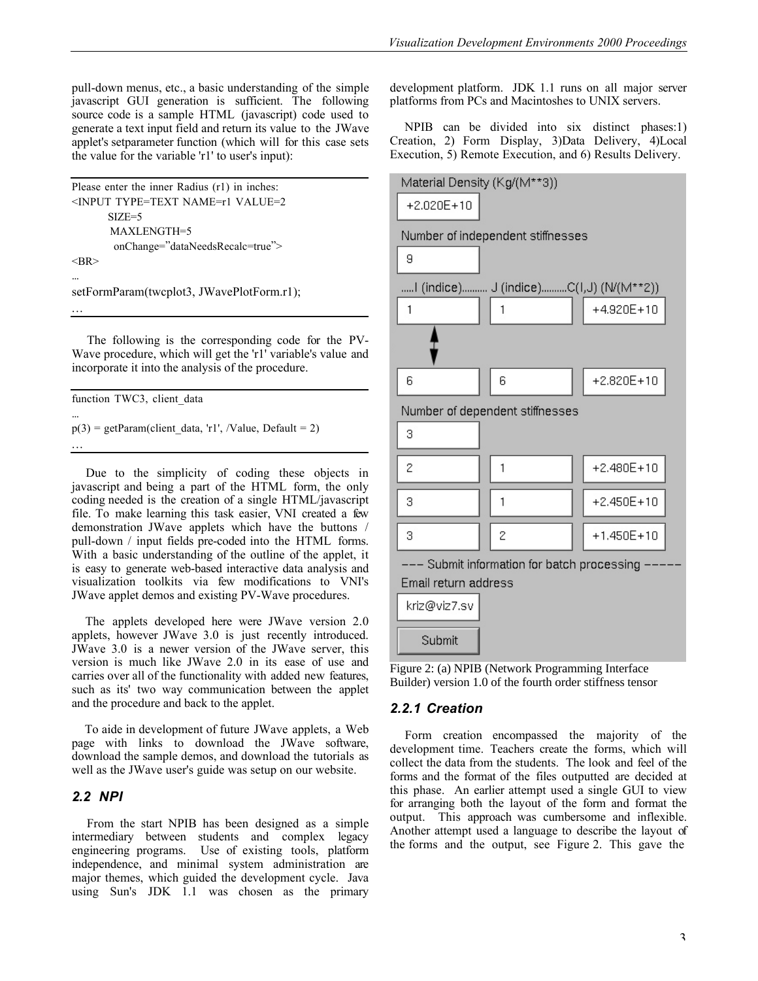pull-down menus, etc., a basic understanding of the simple javascript GUI generation is sufficient. The following source code is a sample HTML (javascript) code used to generate a text input field and return its value to the JWave applet's setparameter function (which will for this case sets the value for the variable 'r1' to user's input):

```
Please enter the inner Radius (r1) in inches:
<INPUT TYPE=TEXT NAME=r1 VALUE=2
      SIZE=5 MAXLENGTH=5
        onChange="dataNeedsRecalc=true">
<BR>...
setFormParam(twcplot3, JWavePlotForm.r1);
...
```
 The following is the corresponding code for the PV-Wave procedure, which will get the 'r1' variable's value and incorporate it into the analysis of the procedure.

function TWC3, client data

...

...

 $p(3) = getParam(client data, 'r1', /Value, Default = 2)$ 

 Due to the simplicity of coding these objects in javascript and being a part of the HTML form, the only coding needed is the creation of a single HTML/javascript file. To make learning this task easier, VNI created a few demonstration JWave applets which have the buttons / pull-down / input fields pre-coded into the HTML forms. With a basic understanding of the outline of the applet, it is easy to generate web-based interactive data analysis and visualization toolkits via few modifications to VNI's JWave applet demos and existing PV-Wave procedures.

The applets developed here were JWave version 2.0 applets, however JWave 3.0 is just recently introduced. JWave 3.0 is a newer version of the JWave server, this version is much like JWave 2.0 in its ease of use and carries over all of the functionality with added new features, such as its' two way communication between the applet and the procedure and back to the applet.

 To aide in development of future JWave applets, a Web page with links to download the JWave software, download the sample demos, and download the tutorials as well as the JWave user's guide was setup on our website.

### *2.2 NPI*

 From the start NPIB has been designed as a simple intermediary between students and complex legacy engineering programs. Use of existing tools, platform independence, and minimal system administration are major themes, which guided the development cycle. Java using Sun's JDK 1.1 was chosen as the primary

development platform. JDK 1.1 runs on all major server platforms from PCs and Macintoshes to UNIX servers.

 NPIB can be divided into six distinct phases:1) Creation, 2) Form Display, 3)Data Delivery, 4)Local Execution, 5) Remote Execution, and 6) Results Delivery.



Figure 2: (a) NPIB (Network Programming Interface Builder) version 1.0 of the fourth order stiffness tensor

### *2.2.1 Creation*

 Form creation encompassed the majority of the development time. Teachers create the forms, which will collect the data from the students. The look and feel of the forms and the format of the files outputted are decided at this phase. An earlier attempt used a single GUI to view for arranging both the layout of the form and format the output. This approach was cumbersome and inflexible. Another attempt used a language to describe the layout of the forms and the output, see Figure 2. This gave the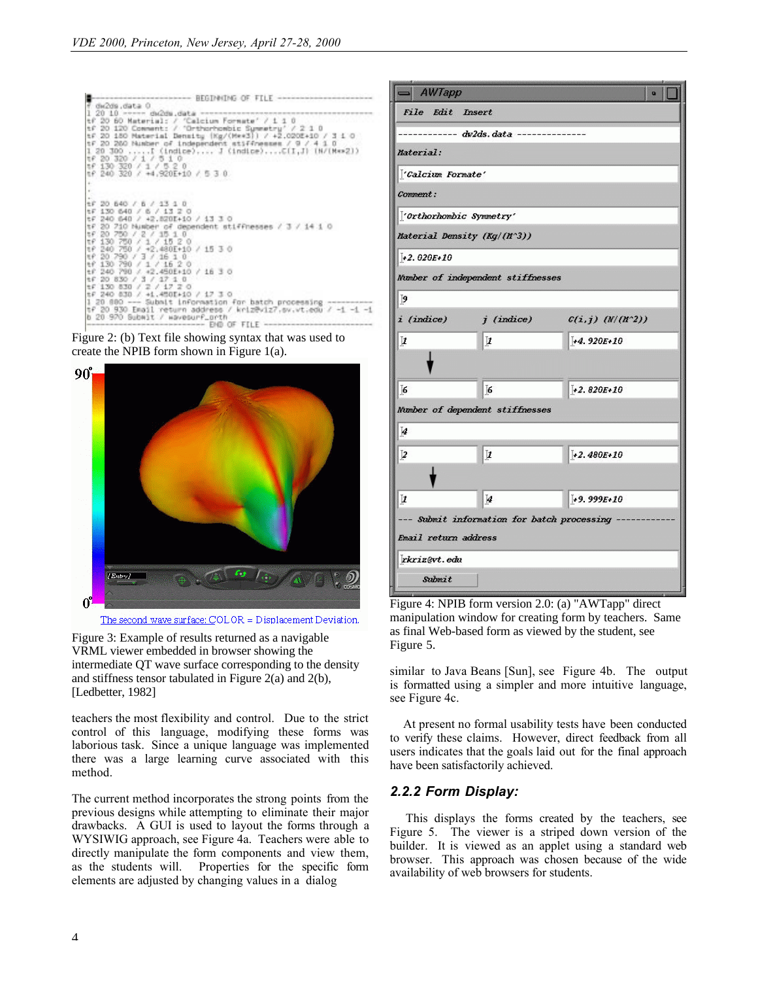

Figure 2: (b) Text file showing syntax that was used to create the NPIB form shown in Figure 1(a).



The second wave surface: COLOR = Displacement Deviation.

Figure 3: Example of results returned as a navigable VRML viewer embedded in browser showing the intermediate QT wave surface corresponding to the density and stiffness tensor tabulated in Figure 2(a) and 2(b), [Ledbetter, 1982]

teachers the most flexibility and control. Due to the strict control of this language, modifying these forms was laborious task. Since a unique language was implemented there was a large learning curve associated with this method.

The current method incorporates the strong points from the previous designs while attempting to eliminate their major drawbacks. A GUI is used to layout the forms through a WYSIWIG approach, see Figure 4a. Teachers were able to directly manipulate the form components and view them, as the students will. Properties for the specific form elements are adjusted by changing values in a dialog



Figure 4: NPIB form version 2.0: (a) "AWTapp" direct manipulation window for creating form by teachers. Same as final Web-based form as viewed by the student, see Figure 5.

similar to Java Beans [Sun], see Figure 4b. The output is formatted using a simpler and more intuitive language, see Figure 4c.

 At present no formal usability tests have been conducted to verify these claims. However, direct feedback from all users indicates that the goals laid out for the final approach have been satisfactorily achieved.

### *2.2.2 Form Display:*

 This displays the forms created by the teachers, see Figure 5. The viewer is a striped down version of the builder. It is viewed as an applet using a standard web browser. This approach was chosen because of the wide availability of web browsers for students.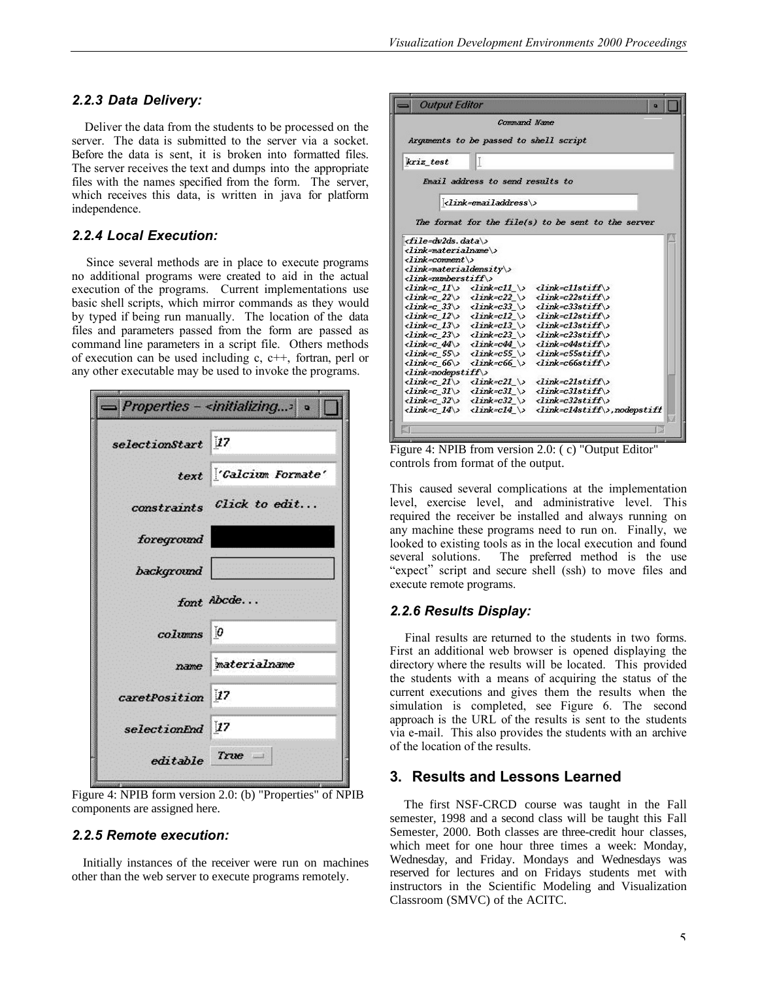### *2.2.3 Data Delivery:*

 Deliver the data from the students to be processed on the server. The data is submitted to the server via a socket. Before the data is sent, it is broken into formatted files. The server receives the text and dumps into the appropriate files with the names specified from the form. The server, which receives this data, is written in java for platform independence.

### *2.2.4 Local Execution:*

 Since several methods are in place to execute programs no additional programs were created to aid in the actual execution of the programs. Current implementations use basic shell scripts, which mirror commands as they would by typed if being run manually. The location of the data files and parameters passed from the form are passed as command line parameters in a script file. Others methods of execution can be used including c, c++, fortran, perl or any other executable may be used to invoke the programs.

|                             | $=$ Properties - <initializing< th=""></initializing<> |
|-----------------------------|--------------------------------------------------------|
| selectionStart 17           |                                                        |
|                             | text <i>Calcium Formate'</i>                           |
|                             | constraints Click to edit                              |
| foreground                  |                                                        |
| background                  |                                                        |
|                             | font Abcde                                             |
| columns 0                   |                                                        |
|                             | name materialname                                      |
| caretPosition <sup>17</sup> |                                                        |
| selectionEnd <sup>17</sup>  |                                                        |
| $editable$ True $-$         |                                                        |

Figure 4: NPIB form version 2.0: (b) "Properties" of NPIB components are assigned here.

#### *2.2.5 Remote execution:*

 Initially instances of the receiver were run on machines other than the web server to execute programs remotely.

|                                           | Command Name                           |                                                                       |
|-------------------------------------------|----------------------------------------|-----------------------------------------------------------------------|
|                                           | Arguments to be passed to shell script |                                                                       |
|                                           |                                        |                                                                       |
| kriz test                                 | LĽ                                     |                                                                       |
|                                           |                                        |                                                                       |
|                                           | Email address to send results to       |                                                                       |
|                                           |                                        |                                                                       |
|                                           | $\langle$ link=emailaddress\>          |                                                                       |
|                                           |                                        |                                                                       |
|                                           |                                        | The format for the file(s) to be sent to the server                   |
|                                           |                                        |                                                                       |
| $\langle$ file=dw2ds.data\>               |                                        |                                                                       |
| <link=materialname\></link=materialname\> |                                        |                                                                       |
| $\langle$ link=comment\>                  |                                        |                                                                       |
| $\langle$ link=materialdensity\>          |                                        |                                                                       |
| $\langle$ link=mmberstiff\>               |                                        |                                                                       |
|                                           |                                        | $\langle$ link=c 11\> $\langle$ link=c11 \> $\langle$ link=c11stiff\> |
|                                           |                                        | $\langle$ link=c 22\> $\langle$ link=c22 \> $\langle$ link=c22stiff\> |
|                                           |                                        | $\langle$ link=c 33\> $\langle$ link=c33 \> $\langle$ link=c33stiff\> |
|                                           |                                        | $\langle$ link=c 12\> $\langle$ link=c12 \> $\langle$ link=c12stiff\> |
|                                           |                                        | $\langle$ link=c 13\> $\langle$ link=c13 \> $\langle$ link=c13stiff\> |
|                                           |                                        | $\langle$ link=c 23\> $\langle$ link=c23 \> $\langle$ link=c23stiff\> |
|                                           |                                        | $\langle$ link=c 44\> $\langle$ link=c44 \> $\langle$ link=c44stiff\> |
|                                           |                                        | $\langle$ link=c 55\> $\langle$ link=c55\\ $\langle$ link=c55stiff\>  |
|                                           |                                        | $\langle$ link=c 66\> $\langle$ link=c66 \> $\langle$ link=c66stiff\> |
|                                           |                                        |                                                                       |
| $\langle$ link=nodepstiff\>               |                                        |                                                                       |
|                                           |                                        | $\langle$ link=c 21\> $\langle$ link=c21 \> $\langle$ link=c21stiff\> |
|                                           |                                        | $\langle$ link=c 31\> $\langle$ link=c31 \> $\langle$ link=c31stiff\> |
|                                           |                                        | $\langle$ link=c 32\> $\langle$ link=c32 \> $\langle$ link=c32stiff\> |

Figure 4: NPIB from version 2.0: ( c) "Output Editor" controls from format of the output.

This caused several complications at the implementation level, exercise level, and administrative level. This required the receiver be installed and always running on any machine these programs need to run on. Finally, we looked to existing tools as in the local execution and found several solutions. The preferred method is the use "expect" script and secure shell (ssh) to move files and execute remote programs.

#### *2.2.6 Results Display:*

 Final results are returned to the students in two forms. First an additional web browser is opened displaying the directory where the results will be located. This provided the students with a means of acquiring the status of the current executions and gives them the results when the simulation is completed, see Figure 6. The second approach is the URL of the results is sent to the students via e-mail. This also provides the students with an archive of the location of the results.

### **3. Results and Lessons Learned**

 The first NSF-CRCD course was taught in the Fall semester, 1998 and a second class will be taught this Fall Semester, 2000. Both classes are three-credit hour classes, which meet for one hour three times a week: Monday, Wednesday, and Friday. Mondays and Wednesdays was reserved for lectures and on Fridays students met with instructors in the Scientific Modeling and Visualization Classroom (SMVC) of the ACITC.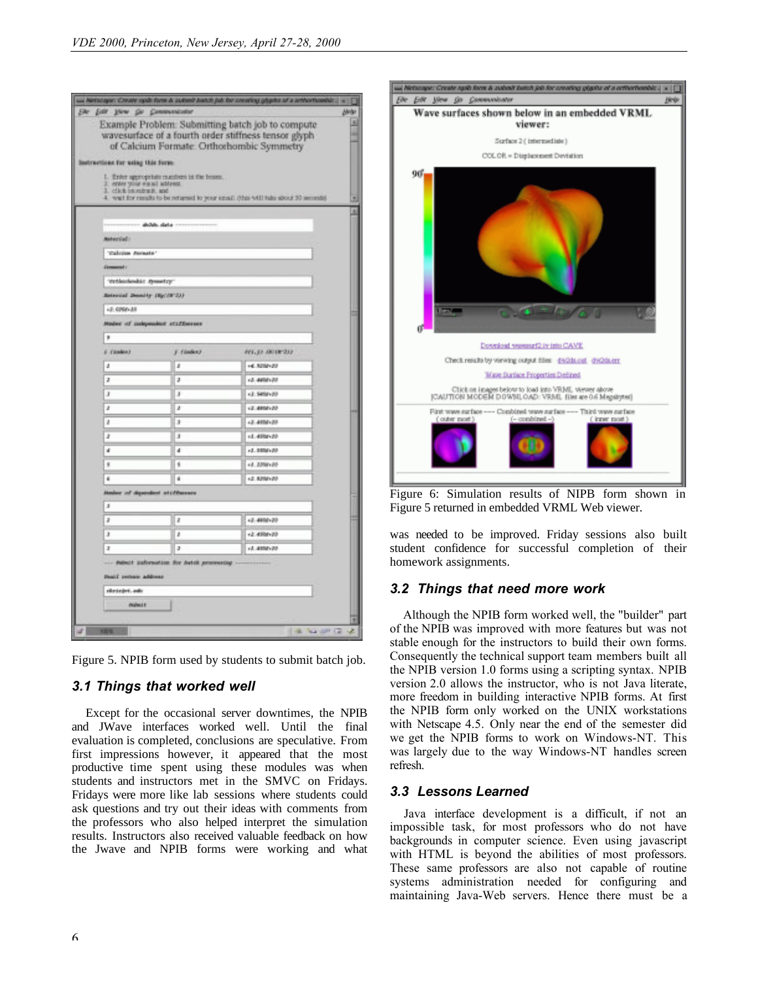| <b>Edit Yew Go Commenceder</b>                        |                                            | us Netscape: Create cysts form & submit batch job for creating gigate of a arthorticable.]                                                            |
|-------------------------------------------------------|--------------------------------------------|-------------------------------------------------------------------------------------------------------------------------------------------------------|
|                                                       |                                            | Example Problem: Submitting batch job to compute<br>wavesurface of a fourth order stiffness tensor glyph<br>of Calcium Formate. Orthorhombic Symmetry |
| Instructions for using this form:                     |                                            |                                                                                                                                                       |
| 2. enter your earn! address<br>3. click baseball, and | 1. Erike appropriate mumbers in the boxes. | 4. wait for results to be returned to your email: (this will take about 30 seconds)                                                                   |
|                                                       |                                            |                                                                                                                                                       |
|                                                       | shidah, slata                              |                                                                                                                                                       |
| Motworkell.                                           |                                            |                                                                                                                                                       |
| <b>Talcian formats'</b>                               |                                            |                                                                                                                                                       |
| <b>Group</b> Company                                  |                                            |                                                                                                                                                       |
| 'motivationist symmetry                               |                                            |                                                                                                                                                       |
| <b>Between Dennity (Bp/OF-2))</b>                     |                                            |                                                                                                                                                       |
| LE. 0008x38                                           |                                            |                                                                                                                                                       |
|                                                       | Hoder of subpositor staffment              |                                                                                                                                                       |
| ,                                                     |                                            |                                                                                                                                                       |
| 6 (Seden)                                             | F (findex)                                 | FELSE AVAILABLE                                                                                                                                       |
| ź                                                     | z                                          | +4.82021-20                                                                                                                                           |
| a                                                     | э                                          | (2.4492) 20                                                                                                                                           |
| x                                                     | x                                          | +3.5498+20                                                                                                                                            |
| ż                                                     | z                                          | (2.4808) 20                                                                                                                                           |
| a                                                     | з                                          | +3.4858+20                                                                                                                                            |
| ž                                                     | ä                                          | +4.4900+20                                                                                                                                            |
| đ                                                     | a                                          | $-1.0000300$                                                                                                                                          |
| s                                                     | s                                          | +2.2298+20                                                                                                                                            |
| ×                                                     | ×                                          | +2.8298+20                                                                                                                                            |
| index of dependent at offensare                       |                                            |                                                                                                                                                       |
| J.                                                    |                                            |                                                                                                                                                       |
| э                                                     | ı                                          | $-3.4808 - 20$                                                                                                                                        |
| з                                                     | ı                                          | +2.4508+20                                                                                                                                            |
| ä,                                                    | э                                          | 1.4895.00                                                                                                                                             |
| <b>Inali</b> return address                           | dubuit information for batch processing.   |                                                                                                                                                       |
| elevisive, auk                                        |                                            |                                                                                                                                                       |
| <b>Piccheck</b> #                                     |                                            |                                                                                                                                                       |
|                                                       |                                            |                                                                                                                                                       |

Figure 5. NPIB form used by students to submit batch job.

### *3.1 Things that worked well*

 Except for the occasional server downtimes, the NPIB and JWave interfaces worked well. Until the final evaluation is completed, conclusions are speculative. From first impressions however, it appeared that the most productive time spent using these modules was when students and instructors met in the SMVC on Fridays. Fridays were more like lab sessions where students could ask questions and try out their ideas with comments from the professors who also helped interpret the simulation results. Instructors also received valuable feedback on how the Jwave and NPIB forms were working and what



Figure 6: Simulation results of NIPB form shown in Figure 5 returned in embedded VRML Web viewer.

was needed to be improved. Friday sessions also built student confidence for successful completion of their homework assignments.

### *3.2 Things that need more work*

 Although the NPIB form worked well, the "builder" part of the NPIB was improved with more features but was not stable enough for the instructors to build their own forms. Consequently the technical support team members built all the NPIB version 1.0 forms using a scripting syntax. NPIB version 2.0 allows the instructor, who is not Java literate, more freedom in building interactive NPIB forms. At first the NPIB form only worked on the UNIX workstations with Netscape 4.5. Only near the end of the semester did we get the NPIB forms to work on Windows-NT. This was largely due to the way Windows-NT handles screen refresh.

### *3.3 Lessons Learned*

 Java interface development is a difficult, if not an impossible task, for most professors who do not have backgrounds in computer science. Even using javascript with HTML is beyond the abilities of most professors. These same professors are also not capable of routine systems administration needed for configuring and maintaining Java-Web servers. Hence there must be a